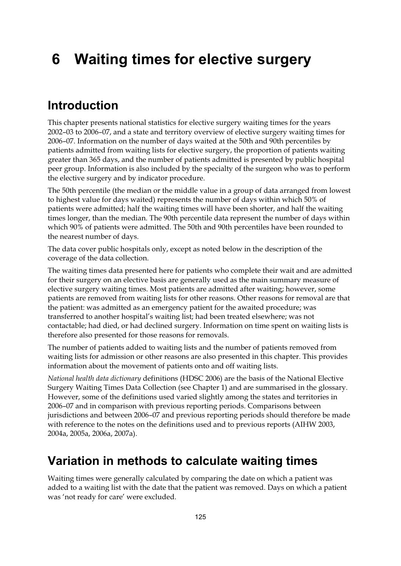# **6 Waiting times for elective surgery**

# **Introduction**

This chapter presents national statistics for elective surgery waiting times for the years 2002–03 to 2006–07, and a state and territory overview of elective surgery waiting times for 2006–07. Information on the number of days waited at the 50th and 90th percentiles by patients admitted from waiting lists for elective surgery, the proportion of patients waiting greater than 365 days, and the number of patients admitted is presented by public hospital peer group. Information is also included by the specialty of the surgeon who was to perform the elective surgery and by indicator procedure.

The 50th percentile (the median or the middle value in a group of data arranged from lowest to highest value for days waited) represents the number of days within which 50% of patients were admitted; half the waiting times will have been shorter, and half the waiting times longer, than the median. The 90th percentile data represent the number of days within which 90% of patients were admitted. The 50th and 90th percentiles have been rounded to the nearest number of days.

The data cover public hospitals only, except as noted below in the description of the coverage of the data collection.

The waiting times data presented here for patients who complete their wait and are admitted for their surgery on an elective basis are generally used as the main summary measure of elective surgery waiting times. Most patients are admitted after waiting; however, some patients are removed from waiting lists for other reasons. Other reasons for removal are that the patient: was admitted as an emergency patient for the awaited procedure; was transferred to another hospital's waiting list; had been treated elsewhere; was not contactable; had died, or had declined surgery. Information on time spent on waiting lists is therefore also presented for those reasons for removals.

The number of patients added to waiting lists and the number of patients removed from waiting lists for admission or other reasons are also presented in this chapter. This provides information about the movement of patients onto and off waiting lists.

*National health data dictionary* definitions (HDSC 2006) are the basis of the National Elective Surgery Waiting Times Data Collection (see Chapter 1) and are summarised in the glossary. However, some of the definitions used varied slightly among the states and territories in 2006–07 and in comparison with previous reporting periods. Comparisons between jurisdictions and between 2006–07 and previous reporting periods should therefore be made with reference to the notes on the definitions used and to previous reports (AIHW 2003, 2004a, 2005a, 2006a, 2007a).

## **Variation in methods to calculate waiting times**

Waiting times were generally calculated by comparing the date on which a patient was added to a waiting list with the date that the patient was removed. Days on which a patient was 'not ready for care' were excluded.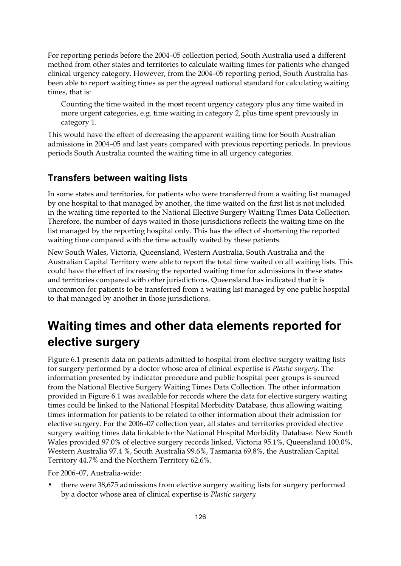For reporting periods before the 2004–05 collection period, South Australia used a different method from other states and territories to calculate waiting times for patients who changed clinical urgency category. However, from the 2004–05 reporting period, South Australia has been able to report waiting times as per the agreed national standard for calculating waiting times, that is:

Counting the time waited in the most recent urgency category plus any time waited in more urgent categories, e.g. time waiting in category 2, plus time spent previously in category 1.

This would have the effect of decreasing the apparent waiting time for South Australian admissions in 2004–05 and last years compared with previous reporting periods. In previous periods South Australia counted the waiting time in all urgency categories.

#### **Transfers between waiting lists**

In some states and territories, for patients who were transferred from a waiting list managed by one hospital to that managed by another, the time waited on the first list is not included in the waiting time reported to the National Elective Surgery Waiting Times Data Collection. Therefore, the number of days waited in those jurisdictions reflects the waiting time on the list managed by the reporting hospital only. This has the effect of shortening the reported waiting time compared with the time actually waited by these patients.

New South Wales, Victoria, Queensland, Western Australia, South Australia and the Australian Capital Territory were able to report the total time waited on all waiting lists. This could have the effect of increasing the reported waiting time for admissions in these states and territories compared with other jurisdictions. Queensland has indicated that it is uncommon for patients to be transferred from a waiting list managed by one public hospital to that managed by another in those jurisdictions.

# **Waiting times and other data elements reported for elective surgery**

Figure 6.1 presents data on patients admitted to hospital from elective surgery waiting lists for surgery performed by a doctor whose area of clinical expertise is *Plastic surgery*. The information presented by indicator procedure and public hospital peer groups is sourced from the National Elective Surgery Waiting Times Data Collection. The other information provided in Figure 6.1 was available for records where the data for elective surgery waiting times could be linked to the National Hospital Morbidity Database, thus allowing waiting times information for patients to be related to other information about their admission for elective surgery. For the 2006–07 collection year, all states and territories provided elective surgery waiting times data linkable to the National Hospital Morbidity Database. New South Wales provided 97.0% of elective surgery records linked, Victoria 95.1%, Queensland 100.0%, Western Australia 97.4 %, South Australia 99.6%, Tasmania 69.8%, the Australian Capital Territory 44.7% and the Northern Territory 62.6%.

For 2006–07, Australia-wide:

• there were 38,675 admissions from elective surgery waiting lists for surgery performed by a doctor whose area of clinical expertise is *Plastic surgery*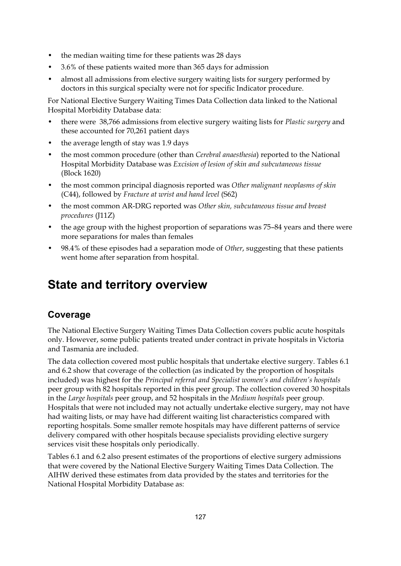- the median waiting time for these patients was 28 days
- 3.6% of these patients waited more than 365 days for admission
- almost all admissions from elective surgery waiting lists for surgery performed by doctors in this surgical specialty were not for specific Indicator procedure.

For National Elective Surgery Waiting Times Data Collection data linked to the National Hospital Morbidity Database data:

- there were 38,766 admissions from elective surgery waiting lists for *Plastic surgery* and these accounted for 70,261 patient days
- the average length of stay was 1.9 days
- the most common procedure (other than *Cerebral anaesthesia*) reported to the National Hospital Morbidity Database was *Excision of lesion of skin and subcutaneous tissue* (Block 1620)
- the most common principal diagnosis reported was *Other malignant neoplasms of skin*  (C44), followed by *Fracture at wrist and hand level* (S62)
- the most common AR-DRG reported was *Other skin, subcutaneous tissue and breast procedures* (J11Z)
- the age group with the highest proportion of separations was 75–84 years and there were more separations for males than females
- 98.4% of these episodes had a separation mode of *Other*, suggesting that these patients went home after separation from hospital.

# **State and territory overview**

## **Coverage**

The National Elective Surgery Waiting Times Data Collection covers public acute hospitals only. However, some public patients treated under contract in private hospitals in Victoria and Tasmania are included.

The data collection covered most public hospitals that undertake elective surgery. Tables 6.1 and 6.2 show that coverage of the collection (as indicated by the proportion of hospitals included) was highest for the *Principal referral and Specialist women's and children's hospitals* peer group with 82 hospitals reported in this peer group. The collection covered 30 hospitals in the *Large hospitals* peer group, and 52 hospitals in the *Medium hospitals* peer group. Hospitals that were not included may not actually undertake elective surgery, may not have had waiting lists, or may have had different waiting list characteristics compared with reporting hospitals. Some smaller remote hospitals may have different patterns of service delivery compared with other hospitals because specialists providing elective surgery services visit these hospitals only periodically.

Tables 6.1 and 6.2 also present estimates of the proportions of elective surgery admissions that were covered by the National Elective Surgery Waiting Times Data Collection. The AIHW derived these estimates from data provided by the states and territories for the National Hospital Morbidity Database as: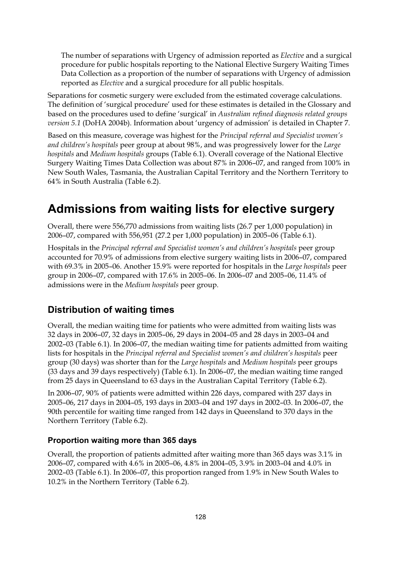The number of separations with Urgency of admission reported as *Elective* and a surgical procedure for public hospitals reporting to the National Elective Surgery Waiting Times Data Collection as a proportion of the number of separations with Urgency of admission reported as *Elective* and a surgical procedure for all public hospitals.

Separations for cosmetic surgery were excluded from the estimated coverage calculations. The definition of 'surgical procedure' used for these estimates is detailed in the Glossary and based on the procedures used to define 'surgical' in *Australian refined diagnosis related groups version 5.1* (DoHA 2004b). Information about 'urgency of admission' is detailed in Chapter 7.

Based on this measure, coverage was highest for the *Principal referral and Specialist women's and children's hospitals* peer group at about 98%, and was progressively lower for the *Large hospitals* and *Medium hospitals* groups (Table 6.1). Overall coverage of the National Elective Surgery Waiting Times Data Collection was about 87% in 2006–07, and ranged from 100% in New South Wales, Tasmania, the Australian Capital Territory and the Northern Territory to 64% in South Australia (Table 6.2).

# **Admissions from waiting lists for elective surgery**

Overall, there were 556,770 admissions from waiting lists (26.7 per 1,000 population) in 2006–07, compared with 556,951 (27.2 per 1,000 population) in 2005–06 (Table 6.1).

Hospitals in the *Principal referral and Specialist women's and children's hospitals* peer group accounted for 70.9% of admissions from elective surgery waiting lists in 2006–07, compared with 69.3% in 2005–06. Another 15.9% were reported for hospitals in the *Large hospitals* peer group in 2006–07, compared with 17.6% in 2005–06. In 2006–07 and 2005–06, 11.4% of admissions were in the *Medium hospitals* peer group.

## **Distribution of waiting times**

Overall, the median waiting time for patients who were admitted from waiting lists was 32 days in 2006–07, 32 days in 2005–06, 29 days in 2004–05 and 28 days in 2003–04 and 2002–03 (Table 6.1). In 2006–07, the median waiting time for patients admitted from waiting lists for hospitals in the *Principal referral and Specialist women's and children's hospitals* peer group (30 days) was shorter than for the *Large hospitals* and *Medium hospitals* peer groups (33 days and 39 days respectively) (Table 6.1). In 2006–07, the median waiting time ranged from 25 days in Queensland to 63 days in the Australian Capital Territory (Table 6.2).

In 2006–07, 90% of patients were admitted within 226 days, compared with 237 days in 2005–06, 217 days in 2004–05, 193 days in 2003–04 and 197 days in 2002–03. In 2006–07, the 90th percentile for waiting time ranged from 142 days in Queensland to 370 days in the Northern Territory (Table 6.2).

#### **Proportion waiting more than 365 days**

Overall, the proportion of patients admitted after waiting more than 365 days was 3.1% in 2006–07, compared with 4.6% in 2005–06, 4.8% in 2004–05, 3.9% in 2003–04 and 4.0% in 2002–03 (Table 6.1). In 2006–07, this proportion ranged from 1.9% in New South Wales to 10.2% in the Northern Territory (Table 6.2).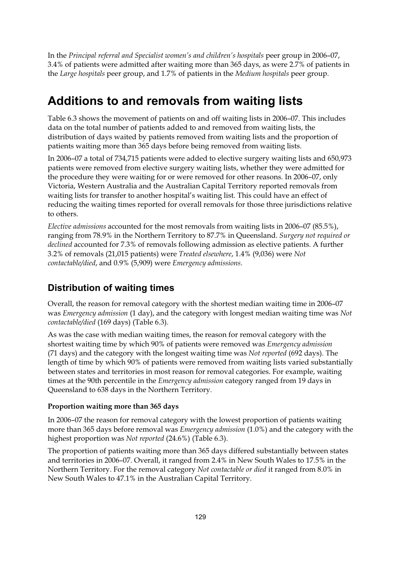In the *Principal referral and Specialist women's and children's hospitals* peer group in 2006–07, 3.4% of patients were admitted after waiting more than 365 days, as were 2.7% of patients in the *Large hospitals* peer group, and 1.7% of patients in the *Medium hospitals* peer group.

# **Additions to and removals from waiting lists**

Table 6.3 shows the movement of patients on and off waiting lists in 2006–07. This includes data on the total number of patients added to and removed from waiting lists, the distribution of days waited by patients removed from waiting lists and the proportion of patients waiting more than 365 days before being removed from waiting lists.

In 2006–07 a total of 734,715 patients were added to elective surgery waiting lists and 650,973 patients were removed from elective surgery waiting lists, whether they were admitted for the procedure they were waiting for or were removed for other reasons. In 2006–07, only Victoria, Western Australia and the Australian Capital Territory reported removals from waiting lists for transfer to another hospital's waiting list. This could have an effect of reducing the waiting times reported for overall removals for those three jurisdictions relative to others.

*Elective admissions* accounted for the most removals from waiting lists in 2006–07 (85.5%), ranging from 78.9% in the Northern Territory to 87.7% in Queensland. *Surgery not required or declined* accounted for 7.3% of removals following admission as elective patients. A further 3.2% of removals (21,015 patients) were *Treated elsewhere*, 1.4% (9,036) were *Not contactable/died*, and 0.9% (5,909) were *Emergency admissions*.

## **Distribution of waiting times**

Overall, the reason for removal category with the shortest median waiting time in 2006–07 was *Emergency admission* (1 day), and the category with longest median waiting time was *Not contactable/died* (169 days) (Table 6.3).

As was the case with median waiting times, the reason for removal category with the shortest waiting time by which 90% of patients were removed was *Emergency admission* (71 days) and the category with the longest waiting time was *Not reported* (692 days). The length of time by which 90% of patients were removed from waiting lists varied substantially between states and territories in most reason for removal categories. For example, waiting times at the 90th percentile in the *Emergency admission* category ranged from 19 days in Queensland to 638 days in the Northern Territory.

#### **Proportion waiting more than 365 days**

In 2006–07 the reason for removal category with the lowest proportion of patients waiting more than 365 days before removal was *Emergency admission* (1.0%) and the category with the highest proportion was *Not reported* (24.6%) (Table 6.3).

The proportion of patients waiting more than 365 days differed substantially between states and territories in 2006–07. Overall, it ranged from 2.4% in New South Wales to 17.5% in the Northern Territory. For the removal category *Not contactable or died* it ranged from 8.0% in New South Wales to 47.1% in the Australian Capital Territory.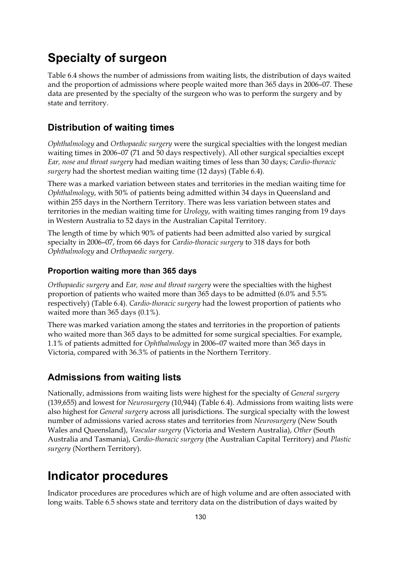# **Specialty of surgeon**

Table 6.4 shows the number of admissions from waiting lists, the distribution of days waited and the proportion of admissions where people waited more than 365 days in 2006–07. These data are presented by the specialty of the surgeon who was to perform the surgery and by state and territory.

#### **Distribution of waiting times**

*Ophthalmology* and *Orthopaedic surgery* were the surgical specialties with the longest median waiting times in 2006–07 (71 and 50 days respectively). All other surgical specialties except *Ear, nose and throat surgery* had median waiting times of less than 30 days; *Cardio-thoracic surgery* had the shortest median waiting time (12 days) (Table 6.4).

There was a marked variation between states and territories in the median waiting time for *Ophthalmology*, with 50% of patients being admitted within 34 days in Queensland and within 255 days in the Northern Territory. There was less variation between states and territories in the median waiting time for *Urology*, with waiting times ranging from 19 days in Western Australia to 52 days in the Australian Capital Territory.

The length of time by which 90% of patients had been admitted also varied by surgical specialty in 2006–07, from 66 days for *Cardio-thoracic surgery* to 318 days for both *Ophthalmology* and *Orthopaedic surgery*.

#### **Proportion waiting more than 365 days**

*Orthopaedic surgery* and *Ear, nose and throat surgery* were the specialties with the highest proportion of patients who waited more than 365 days to be admitted (6.0% and 5.5% respectively) (Table 6.4). *Cardio-thoracic surgery* had the lowest proportion of patients who waited more than 365 days (0.1%).

There was marked variation among the states and territories in the proportion of patients who waited more than 365 days to be admitted for some surgical specialties. For example, 1.1% of patients admitted for *Ophthalmology* in 2006–07 waited more than 365 days in Victoria, compared with 36.3% of patients in the Northern Territory.

#### **Admissions from waiting lists**

Nationally, admissions from waiting lists were highest for the specialty of *General surgery* (139,655) and lowest for *Neurosurgery* (10,944) (Table 6.4). Admissions from waiting lists were also highest for *General surgery* across all jurisdictions. The surgical specialty with the lowest number of admissions varied across states and territories from *Neurosurgery* (New South Wales and Queensland), *Vascular surgery* (Victoria and Western Australia), *Other* (South Australia and Tasmania), *Cardio-thoracic surgery* (the Australian Capital Territory) and *Plastic surgery* (Northern Territory).

## **Indicator procedures**

Indicator procedures are procedures which are of high volume and are often associated with long waits. Table 6.5 shows state and territory data on the distribution of days waited by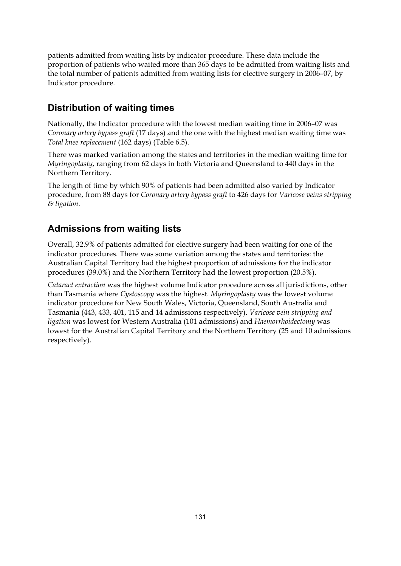patients admitted from waiting lists by indicator procedure. These data include the proportion of patients who waited more than 365 days to be admitted from waiting lists and the total number of patients admitted from waiting lists for elective surgery in 2006–07, by Indicator procedure.

## **Distribution of waiting times**

Nationally, the Indicator procedure with the lowest median waiting time in 2006–07 was *Coronary artery bypass graft* (17 days) and the one with the highest median waiting time was *Total knee replacement* (162 days) (Table 6.5).

There was marked variation among the states and territories in the median waiting time for *Myringoplasty*, ranging from 62 days in both Victoria and Queensland to 440 days in the Northern Territory.

The length of time by which 90% of patients had been admitted also varied by Indicator procedure, from 88 days for *Coronary artery bypass graft* to 426 days for *Varicose veins stripping & ligation*.

## **Admissions from waiting lists**

Overall, 32.9% of patients admitted for elective surgery had been waiting for one of the indicator procedures. There was some variation among the states and territories: the Australian Capital Territory had the highest proportion of admissions for the indicator procedures (39.0%) and the Northern Territory had the lowest proportion (20.5%).

*Cataract extraction* was the highest volume Indicator procedure across all jurisdictions, other than Tasmania where *Cystoscopy* was the highest. *Myringoplasty* was the lowest volume indicator procedure for New South Wales, Victoria, Queensland, South Australia and Tasmania (443, 433, 401, 115 and 14 admissions respectively). *Varicose vein stripping and ligation* was lowest for Western Australia (101 admissions) and *Haemorrhoidectomy* was lowest for the Australian Capital Territory and the Northern Territory (25 and 10 admissions respectively).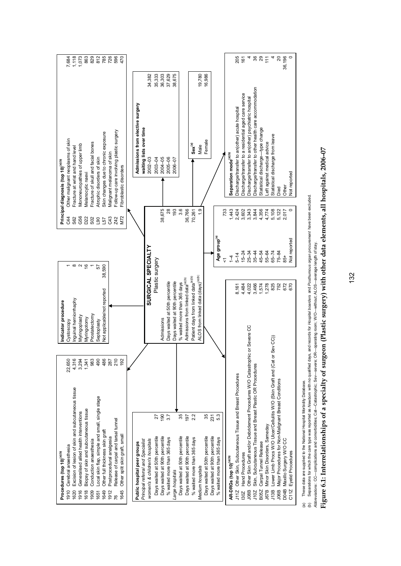| 4,316<br>22,650<br>3,294<br>1,341<br>Excision of lesion of skin and subcutaneous tissue<br>Biopsy of skin and subcutaneous tissue<br>Generalised allied health interventions<br>Cerebral anaesthesia<br>Procedures (top 10) <sup>(a)(b)</sup><br>1910<br>1620<br>1916<br>1618 | Inguinal herniorrhaphy<br>Indicator procedure<br>Myringoplasty<br>Cystoscopy                      |                    | $\circ$ $\circ$ $\circ$ $\circ$           | G56<br>D <sub>22</sub><br>C44<br>S62 | Other malignant neoplasms of skin<br>Mononeuropathies of upper limb<br>Fracture at wrist and hand level<br>Principal diagnosis (top 10) <sup>(a)(b)</sup> | 1,073<br>118<br>863<br>,684 |
|-------------------------------------------------------------------------------------------------------------------------------------------------------------------------------------------------------------------------------------------------------------------------------|---------------------------------------------------------------------------------------------------|--------------------|-------------------------------------------|--------------------------------------|-----------------------------------------------------------------------------------------------------------------------------------------------------------|-----------------------------|
| 490<br>983<br>-ocal skin flap, simple and small, single stage<br>Conduction anaesthesia<br>1909<br>1651                                                                                                                                                                       | Prostatectomy<br>Myringotomy<br>Septoplasty                                                       |                    | 57                                        | S <sub>02</sub><br>L90               | Fracture of skull and facial bones<br>Atrophic disorders of skin<br>Vlelanocytic naevi                                                                    | 812<br>829                  |
| 486<br>287<br>Other full thickness skin graft<br>Postprocedural analgesia<br>1649<br>1912                                                                                                                                                                                     | Not applicable/not reported                                                                       | 38,590             |                                           | C43<br>L57                           | Skin changes due to chronic exposure<br>Malignant melanoma of skin                                                                                        | 785<br>726                  |
| 210<br>192<br>Release of carpal and tarsal tunnel<br>Other split skin graft, small<br>1645<br>76                                                                                                                                                                              |                                                                                                   |                    |                                           | M72<br>Z42                           | Follow-up care involving plastic surgery<br>Fibroblastic disorders                                                                                        | 596<br>470                  |
| Principal referral and Specialist<br>Public hospital peer groups                                                                                                                                                                                                              |                                                                                                   |                    |                                           |                                      | Admissions from elective surgery<br>waiting lists over time                                                                                               |                             |
| women's & children's hospitals                                                                                                                                                                                                                                                |                                                                                                   | SURGICAL SPECIALTY |                                           |                                      | 34,382<br>$2002 - 03$                                                                                                                                     |                             |
| 190<br>27<br>Days waited at 50th percentile<br>Days waited at 90th percentile                                                                                                                                                                                                 | Admissions                                                                                        | Plastic surgery    |                                           | 38,675                               | 35,333<br>36,303<br>2004-05<br>2003-04                                                                                                                    |                             |
| 3.7<br>% waited more than 365 days                                                                                                                                                                                                                                            | Days waited at 50th percentile                                                                    |                    |                                           | 28<br>193                            | 37,629<br>38,675<br>$2005 - 06$<br>2006-07                                                                                                                |                             |
| 35<br>Days waited at 50th percentile<br>Large hospitals                                                                                                                                                                                                                       | Days waited at 90th percentile<br>% waited more than 365 days                                     |                    |                                           | 3.6                                  |                                                                                                                                                           |                             |
| 197<br>Days waited at 90th percentile                                                                                                                                                                                                                                         | Admissions from linked data <sup>(a)(b)</sup>                                                     |                    |                                           | 36,766                               |                                                                                                                                                           |                             |
| 2.2<br>% waited more than 365 days<br>Medium hospitals                                                                                                                                                                                                                        | ALOS from linked data (days) <sup>(a)(b)</sup><br>Patient days from linked data <sup>(a)(b)</sup> |                    |                                           | $\frac{0}{1}$<br>70,261              | 19,780<br>$\mathbf{Sex}^{(a)}$<br>Male                                                                                                                    |                             |
| 35<br>231<br>Days waited at 50th percentile<br>Days waited at 90th percentile                                                                                                                                                                                                 |                                                                                                   |                    |                                           |                                      | 16,986<br>Female                                                                                                                                          |                             |
| 5.3<br>% waited more than 365 days                                                                                                                                                                                                                                            |                                                                                                   |                    | Age group <sup>(a)</sup>                  |                                      |                                                                                                                                                           |                             |
| AR-DRGs (top 10) <sup>(a)(b)</sup>                                                                                                                                                                                                                                            |                                                                                                   |                    | $\overline{1}$<br>$\overline{\mathbf{v}}$ | 733<br>1,443                         | Separation mode <sup>(a)(b)</sup>                                                                                                                         |                             |
| Other Skin, Subcutaneous Tissue and Breast Procedures<br><b>J112</b>                                                                                                                                                                                                          |                                                                                                   | 8,161              | $5 - 14$                                  | 2,424                                | Discharge/transfer to an(other) acute hospital                                                                                                            | 205                         |
| Other Skin Graft and/or Debridement Procedures W/O Catastrophic<br><b>Hand Procedures</b><br><b>JO8B</b><br>130Z                                                                                                                                                              | : or Severe CC                                                                                    | 4,484<br>4,022     | $25 - 34$<br>$15 - 24$                    | 3,343<br>3,602                       | Discharge/transfer to a residential aged care service<br>Discharge/transfer to an(other) psychiatric hospital                                             | 161                         |
| Skin, Subcutaneous Tissue and Breast Plastic OR Procedures<br>J10Z                                                                                                                                                                                                            |                                                                                                   | 3,466              | $35 - 44$                                 | 3,844                                | Discharge/transfer to other health care accommodation                                                                                                     |                             |
| Carpal Tunnel Release<br><b>B05Z</b>                                                                                                                                                                                                                                          |                                                                                                   | 1,574              | $45 - 54$                                 | 4,356                                | Statistical discharge-type change                                                                                                                         | $887 - 4$                   |
| Lower Limb Procs W/O Ulcer/Cellulitis W/O (Skin Graft and (Cat or<br>Minor Skin Disorders, Sameday<br>J13B<br><b>J67B</b>                                                                                                                                                     | Sev CC)                                                                                           | 1,278<br>825       | $55 - 64$<br>$65 - 74$                    | 4,774<br>5,108                       | Statistical discharge from leave<br>eft against medical advice                                                                                            |                             |
| Major Procedures for Non-Malignant Breast Conditions<br><b>JO6B</b>                                                                                                                                                                                                           |                                                                                                   | 752                | $75 - 84$                                 | 5,122                                | Died                                                                                                                                                      | $\overline{20}$             |
| Maxillo Surgery W/O CC<br>Eyelid Procedures<br>DO4B<br>C11Z                                                                                                                                                                                                                   |                                                                                                   | 672<br>670         | Not reported<br>$\overline{65}$           | 2,017                                | <b>Vot reported</b><br>Other                                                                                                                              | 36,196                      |
|                                                                                                                                                                                                                                                                               |                                                                                                   |                    |                                           |                                      |                                                                                                                                                           |                             |

(a) These data are supplied to the National Hospital Morbidity Database.

(a) These data are supplied to the National Hospital Morbidity Database.<br>(b) Separations for which the care type was reported as *Newborn wi*th no qualified days, and records for *Hospital boarders* and *Posthumous organ* (b) Separations for which the care type was reported as *Newborn* with no qualified days, and records for *Hospital boarders* and *Posthumous organ procurement* have been excluded.

*Abbreviations* : CC—complications and comorbidities; Cat—Catastrophic; Sev—severe; OR—operating room; W/O—without; ALOS—average length of stay.

# Figure 6.1: Interrelationships of a specialty of surgeon (Plastic surgery) with other data elements, all hospitals, 2006-07 **Figure 6.1: Interrelationships of a specialty of surgeon (Plastic surgery) with other data elements, all hospitals, 2006–07**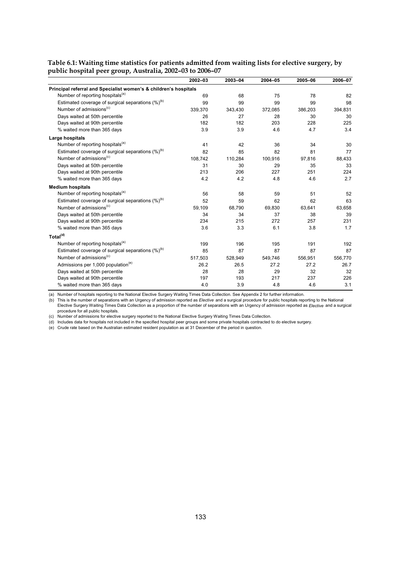|                                                                  | 2002-03 | 2003-04 | 2004-05 | 2005-06 | 2006-07 |
|------------------------------------------------------------------|---------|---------|---------|---------|---------|
| Principal referral and Specialist women's & children's hospitals |         |         |         |         |         |
| Number of reporting hospitals <sup>(a)</sup>                     | 69      | 68      | 75      | 78      | 82      |
| Estimated coverage of surgical separations $(\%)^{(b)}$          | 99      | 99      | 99      | 99      | 98      |
| Number of admissions <sup>(c)</sup>                              | 339,370 | 343,430 | 372,085 | 386,203 | 394,831 |
| Days waited at 50th percentile                                   | 26      | 27      | 28      | 30      | 30      |
| Days waited at 90th percentile                                   | 182     | 182     | 203     | 228     | 225     |
| % waited more than 365 days                                      | 3.9     | 3.9     | 4.6     | 4.7     | 3.4     |
| Large hospitals                                                  |         |         |         |         |         |
| Number of reporting hospitals <sup>(a)</sup>                     | 41      | 42      | 36      | 34      | 30      |
| Estimated coverage of surgical separations $(\%)^{(b)}$          | 82      | 85      | 82      | 81      | 77      |
| Number of admissions <sup>(c)</sup>                              | 108,742 | 110,284 | 100,916 | 97,816  | 88,433  |
| Days waited at 50th percentile                                   | 31      | 30      | 29      | 35      | 33      |
| Days waited at 90th percentile                                   | 213     | 206     | 227     | 251     | 224     |
| % waited more than 365 days                                      | 4.2     | 4.2     | 4.8     | 4.6     | 2.7     |
| <b>Medium hospitals</b>                                          |         |         |         |         |         |
| Number of reporting hospitals <sup>(a)</sup>                     | 56      | 58      | 59      | 51      | 52      |
| Estimated coverage of surgical separations $(\%)^{(b)}$          | 52      | 59      | 62      | 62      | 63      |
| Number of admissions <sup>(c)</sup>                              | 59,109  | 68,790  | 69,830  | 63,641  | 63,658  |
| Days waited at 50th percentile                                   | 34      | 34      | 37      | 38      | 39      |
| Days waited at 90th percentile                                   | 234     | 215     | 272     | 257     | 231     |
| % waited more than 365 days                                      | 3.6     | 3.3     | 6.1     | 3.8     | 1.7     |
| Total <sup>(d)</sup>                                             |         |         |         |         |         |
| Number of reporting hospitals <sup>(a)</sup>                     | 199     | 196     | 195     | 191     | 192     |
| Estimated coverage of surgical separations $(\%)^{(b)}$          | 85      | 87      | 87      | 87      | 87      |
| Number of admissions <sup>(c)</sup>                              | 517,503 | 528,949 | 549,746 | 556,951 | 556,770 |
| Admissions per 1,000 population <sup>(e)</sup>                   | 26.2    | 26.5    | 27.2    | 27.2    | 26.7    |
| Days waited at 50th percentile                                   | 28      | 28      | 29      | 32      | 32      |
| Days waited at 90th percentile                                   | 197     | 193     | 217     | 237     | 226     |
| % waited more than 365 days                                      | 4.0     | 3.9     | 4.8     | 4.6     | 3.1     |

#### **Table 6.1: Waiting time statistics for patients admitted from waiting lists for elective surgery, by public hospital peer group, Australia, 2002–03 to 2006–07**

(a) Number of hospitals reporting to the National Elective Surgery Waiting Times Data Collection. See Appendix 2 for further information.

(b) This is the number of separations with an Urgency of admission reported as *Elective* and a surgical procedure for public hospitals reporting to the National Elective Surgery Waiting Times Data Collection as a proportion of the number of separations with an Urgency of admission reported as *Elective* and a surgical

procedure for all public hospitals.<br>(c) Number of admissions for elective surgery reported to the National Elective Surgery Waiting Times Data Collection.

(d) Includes data for hospitals not included in the specified hospital peer groups and some private hospitals contracted to do elective surgery.

(e) Crude rate based on the Australian estimated resident population as at 31 December of the period in question.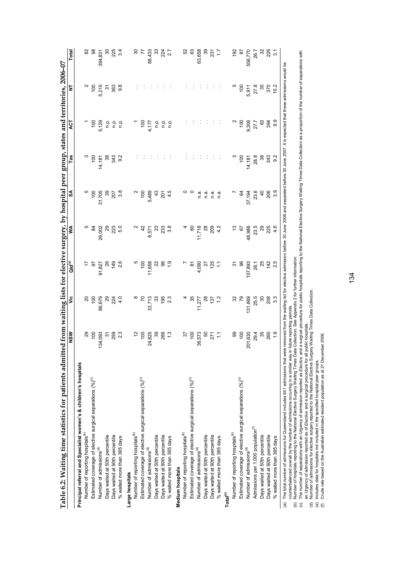| 8 g g<br>2 g<br>2 g<br>11,658<br>$\frac{8}{1}$<br>ನ ೫<br>4,090<br>27<br>125<br>9<br>91,827<br><u> প</u><br>$\frac{100}{2}$<br>86,679<br>8 8 4<br>8 4 9<br>33,713<br>195<br>2.3<br>35<br>28<br>25<br>27<br>28<br>ຊ<br>R<br>ౘ<br>11,277<br>$39\,$<br>100<br>259<br>2.3<br>100<br>,825<br>266<br>$\frac{3}{2}$<br>100<br>573<br>093<br>52<br>$\frac{1}{2}$<br>र्ऋ<br>$\overline{A}$<br>86<br>Principal referral and Specialist women's & children's hospitals<br>Estimated coverage of elective surgical separations (%) <sup>(c)</sup><br>Estimated coverage of elective surgical separations (%)(c)<br>Estimated coverage of elective surgical separations (%) <sup>(c)</sup><br>Number of reporting hospitals <sup>(b)</sup><br>Number of reporting hospitals <sup>(b)</sup><br>Number of reporting hospitals <sup>(b)</sup><br>Days waited at 50th percentile<br>Days waited at 50th percentile<br>Days waited at 50th percentile<br>Days waited at 90th percentile<br>Days waited at 90th percentile<br>Days waited at 90th percentile<br>% waited more than 365 days<br>% waited more than 365 days<br>Number of admissions <sup>(d)</sup><br>Number of admissions <sup>(d)</sup><br>Number of admissions <sup>(d)</sup><br>Medium hospitals<br>Large hospitals | ន<br>ខ្លួន<br><sub>5.</sub> 0<br><u>ಇ ಇ ಇ</u><br>26,002<br>$\ddot{ }$<br>æ<br>8,571 | $207$<br>$3.8$<br>ౢ<br>$\frac{100}{2}$<br>5,489<br>43<br>$\frac{100}{2}$<br>31,705<br>201 | $343$<br>$9.2$<br>38<br>$\frac{8}{100}$<br>14,181 | $\frac{8}{1}$<br>5,129<br>ف<br>ء<br>م.<br>¤<br>e<br>E | $100$<br>5,215<br>$\approx$ |                     |
|--------------------------------------------------------------------------------------------------------------------------------------------------------------------------------------------------------------------------------------------------------------------------------------------------------------------------------------------------------------------------------------------------------------------------------------------------------------------------------------------------------------------------------------------------------------------------------------------------------------------------------------------------------------------------------------------------------------------------------------------------------------------------------------------------------------------------------------------------------------------------------------------------------------------------------------------------------------------------------------------------------------------------------------------------------------------------------------------------------------------------------------------------------------------------------------------------------------------------------------------------------------------|-------------------------------------------------------------------------------------|-------------------------------------------------------------------------------------------|---------------------------------------------------|-------------------------------------------------------|-----------------------------|---------------------|
|                                                                                                                                                                                                                                                                                                                                                                                                                                                                                                                                                                                                                                                                                                                                                                                                                                                                                                                                                                                                                                                                                                                                                                                                                                                                    |                                                                                     |                                                                                           |                                                   |                                                       |                             |                     |
|                                                                                                                                                                                                                                                                                                                                                                                                                                                                                                                                                                                                                                                                                                                                                                                                                                                                                                                                                                                                                                                                                                                                                                                                                                                                    |                                                                                     |                                                                                           |                                                   |                                                       |                             |                     |
|                                                                                                                                                                                                                                                                                                                                                                                                                                                                                                                                                                                                                                                                                                                                                                                                                                                                                                                                                                                                                                                                                                                                                                                                                                                                    |                                                                                     |                                                                                           |                                                   |                                                       |                             | 8                   |
|                                                                                                                                                                                                                                                                                                                                                                                                                                                                                                                                                                                                                                                                                                                                                                                                                                                                                                                                                                                                                                                                                                                                                                                                                                                                    |                                                                                     |                                                                                           |                                                   |                                                       |                             | 394,831             |
|                                                                                                                                                                                                                                                                                                                                                                                                                                                                                                                                                                                                                                                                                                                                                                                                                                                                                                                                                                                                                                                                                                                                                                                                                                                                    |                                                                                     |                                                                                           |                                                   |                                                       |                             |                     |
|                                                                                                                                                                                                                                                                                                                                                                                                                                                                                                                                                                                                                                                                                                                                                                                                                                                                                                                                                                                                                                                                                                                                                                                                                                                                    |                                                                                     |                                                                                           |                                                   |                                                       | 363                         | 9<br>25<br>24<br>34 |
|                                                                                                                                                                                                                                                                                                                                                                                                                                                                                                                                                                                                                                                                                                                                                                                                                                                                                                                                                                                                                                                                                                                                                                                                                                                                    |                                                                                     |                                                                                           |                                                   |                                                       | 9.8                         |                     |
|                                                                                                                                                                                                                                                                                                                                                                                                                                                                                                                                                                                                                                                                                                                                                                                                                                                                                                                                                                                                                                                                                                                                                                                                                                                                    |                                                                                     |                                                                                           |                                                   |                                                       |                             |                     |
|                                                                                                                                                                                                                                                                                                                                                                                                                                                                                                                                                                                                                                                                                                                                                                                                                                                                                                                                                                                                                                                                                                                                                                                                                                                                    |                                                                                     |                                                                                           |                                                   |                                                       |                             | వి                  |
|                                                                                                                                                                                                                                                                                                                                                                                                                                                                                                                                                                                                                                                                                                                                                                                                                                                                                                                                                                                                                                                                                                                                                                                                                                                                    |                                                                                     |                                                                                           |                                                   | $\frac{8}{1}$                                         |                             | $\overline{7}$      |
|                                                                                                                                                                                                                                                                                                                                                                                                                                                                                                                                                                                                                                                                                                                                                                                                                                                                                                                                                                                                                                                                                                                                                                                                                                                                    |                                                                                     |                                                                                           |                                                   | 4,177                                                 |                             | 88,433              |
|                                                                                                                                                                                                                                                                                                                                                                                                                                                                                                                                                                                                                                                                                                                                                                                                                                                                                                                                                                                                                                                                                                                                                                                                                                                                    |                                                                                     |                                                                                           |                                                   | ف<br>ء                                                |                             |                     |
|                                                                                                                                                                                                                                                                                                                                                                                                                                                                                                                                                                                                                                                                                                                                                                                                                                                                                                                                                                                                                                                                                                                                                                                                                                                                    |                                                                                     |                                                                                           |                                                   | ېم                                                    |                             | 33<br>22<br>2.7     |
|                                                                                                                                                                                                                                                                                                                                                                                                                                                                                                                                                                                                                                                                                                                                                                                                                                                                                                                                                                                                                                                                                                                                                                                                                                                                    |                                                                                     | 4.5                                                                                       |                                                   | e<br>E                                                |                             |                     |
|                                                                                                                                                                                                                                                                                                                                                                                                                                                                                                                                                                                                                                                                                                                                                                                                                                                                                                                                                                                                                                                                                                                                                                                                                                                                    |                                                                                     |                                                                                           |                                                   |                                                       |                             |                     |
|                                                                                                                                                                                                                                                                                                                                                                                                                                                                                                                                                                                                                                                                                                                                                                                                                                                                                                                                                                                                                                                                                                                                                                                                                                                                    |                                                                                     |                                                                                           |                                                   |                                                       |                             | 52                  |
|                                                                                                                                                                                                                                                                                                                                                                                                                                                                                                                                                                                                                                                                                                                                                                                                                                                                                                                                                                                                                                                                                                                                                                                                                                                                    | 8                                                                                   |                                                                                           |                                                   |                                                       |                             | යි                  |
|                                                                                                                                                                                                                                                                                                                                                                                                                                                                                                                                                                                                                                                                                                                                                                                                                                                                                                                                                                                                                                                                                                                                                                                                                                                                    | 11,718                                                                              | a.<br>C                                                                                   |                                                   |                                                       |                             | 63,658              |
|                                                                                                                                                                                                                                                                                                                                                                                                                                                                                                                                                                                                                                                                                                                                                                                                                                                                                                                                                                                                                                                                                                                                                                                                                                                                    | $\frac{8}{3}$                                                                       | n.a                                                                                       |                                                   |                                                       |                             |                     |
|                                                                                                                                                                                                                                                                                                                                                                                                                                                                                                                                                                                                                                                                                                                                                                                                                                                                                                                                                                                                                                                                                                                                                                                                                                                                    | 209<br>4.2                                                                          | n.a                                                                                       |                                                   |                                                       |                             | 3<br>25<br>25<br>25 |
| % waited more than 365 days                                                                                                                                                                                                                                                                                                                                                                                                                                                                                                                                                                                                                                                                                                                                                                                                                                                                                                                                                                                                                                                                                                                                                                                                                                        |                                                                                     | n.a                                                                                       |                                                   |                                                       |                             |                     |
| Total <sup>(e)</sup>                                                                                                                                                                                                                                                                                                                                                                                                                                                                                                                                                                                                                                                                                                                                                                                                                                                                                                                                                                                                                                                                                                                                                                                                                                               |                                                                                     |                                                                                           |                                                   |                                                       |                             |                     |
| ᢆ<br>೫<br>ஜ<br>Number of reporting hospitals <sup>(b)</sup>                                                                                                                                                                                                                                                                                                                                                                                                                                                                                                                                                                                                                                                                                                                                                                                                                                                                                                                                                                                                                                                                                                                                                                                                        |                                                                                     |                                                                                           |                                                   | N                                                     | ιΩ                          | 192                 |
| 8<br>79<br>100<br>Estimated coverage of elective surgical separations (%) <sup>(c)</sup>                                                                                                                                                                                                                                                                                                                                                                                                                                                                                                                                                                                                                                                                                                                                                                                                                                                                                                                                                                                                                                                                                                                                                                           | 67                                                                                  | \$                                                                                        | $\overline{100}$                                  | $\frac{100}{2}$                                       | $\frac{100}{2}$             | 5                   |
| 107,893<br>131,669<br>,630<br>201<br>Number of admissions <sup>(d)</sup>                                                                                                                                                                                                                                                                                                                                                                                                                                                                                                                                                                                                                                                                                                                                                                                                                                                                                                                                                                                                                                                                                                                                                                                           | 48,986                                                                              | 37,194                                                                                    | 14,181                                            | 9,306                                                 | 5,911                       | 556,770             |
| 26.1<br>25.5<br>29.4<br>Admissions per 1,000 population <sup>(f)</sup>                                                                                                                                                                                                                                                                                                                                                                                                                                                                                                                                                                                                                                                                                                                                                                                                                                                                                                                                                                                                                                                                                                                                                                                             | 23.5                                                                                | 23.6                                                                                      | 28.8                                              | 27.7                                                  | 27.8                        | 26.7                |
| 25<br>80<br>35<br>Days waited at 50th percentile                                                                                                                                                                                                                                                                                                                                                                                                                                                                                                                                                                                                                                                                                                                                                                                                                                                                                                                                                                                                                                                                                                                                                                                                                   | 8                                                                                   | $\theta$                                                                                  | 38                                                | 63                                                    | 35                          | $\approx$           |
| $142$<br>2.5<br>208<br>260<br>Days waited at 90th percentile                                                                                                                                                                                                                                                                                                                                                                                                                                                                                                                                                                                                                                                                                                                                                                                                                                                                                                                                                                                                                                                                                                                                                                                                       | 225                                                                                 | 206                                                                                       | 343                                               | 364                                                   | 370                         | 226                 |
| 3.3<br>$\ddot{ }$ .9<br>% waited more than 365 days                                                                                                                                                                                                                                                                                                                                                                                                                                                                                                                                                                                                                                                                                                                                                                                                                                                                                                                                                                                                                                                                                                                                                                                                                | 4.6                                                                                 | 3.9                                                                                       | 9.2                                               | 9.9                                                   | 10.2                        | $\overline{31}$     |

counterbalanced overall by the number of admissions occurring in a similar way in future reporting periods.

(b) Number of hospitals reporting to the National Elective Surgery Waiting Times Data Collection. See Appendix 2 for further information.

` counterbalanced overall by the number of admissions occurring in a similar way in future reporting periods. `<br>(b) Number of hospitals reporting to the National Elective Surgery Walting Times Data Collection. See Appendix The number of separations with an Urgency of admission reported as Elective and a surgical procedure for public hospitals reporting to the Number Davity a Viding Times Data Collection as a proportion of the number of separ

(d) Number of admissions for elective surgery reported to the National Elective Surgery Waiting Times Data Collection. an Urgency of admission reported as of *Elective* and a surgical procedure for all public hospitals.

(e) Includes data for hospitals not included in the specified hospital peer groups.

(f) Crude rate based on the Australian estimated resident population as at 31 December 2006.

134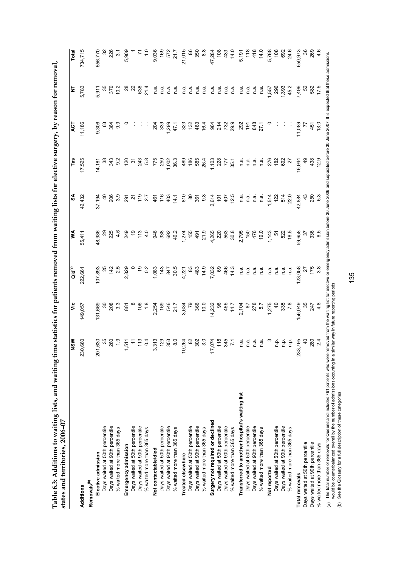| <b>こうこうそ そうみ そうひょうりょ こうこ こうそうちょうり クジャーククー</b> |                              |
|-----------------------------------------------|------------------------------|
|                                               |                              |
|                                               |                              |
|                                               |                              |
|                                               |                              |
|                                               |                              |
|                                               |                              |
|                                               |                              |
|                                               |                              |
| <br> <br> <br>                                |                              |
|                                               |                              |
|                                               |                              |
|                                               |                              |
|                                               |                              |
|                                               |                              |
| ֺ֚֚<br>֧֪֧֢֚֚֚֚֚֚֚֚֚֚֚֚֚֚֜׆֧                  |                              |
|                                               |                              |
|                                               |                              |
|                                               |                              |
|                                               |                              |
|                                               |                              |
|                                               |                              |
|                                               |                              |
|                                               |                              |
| <b>September 2007-00-2008</b>                 |                              |
|                                               |                              |
|                                               |                              |
|                                               |                              |
|                                               |                              |
|                                               |                              |
|                                               |                              |
|                                               |                              |
|                                               |                              |
| ı                                             |                              |
|                                               |                              |
|                                               |                              |
|                                               |                              |
|                                               |                              |
| りょうそ コサネシュサカネ そうも ひきょう                        |                              |
|                                               |                              |
|                                               |                              |
|                                               |                              |
|                                               |                              |
|                                               |                              |
|                                               |                              |
|                                               |                              |
|                                               |                              |
|                                               |                              |
|                                               |                              |
|                                               |                              |
|                                               |                              |
|                                               |                              |
|                                               | Š                            |
|                                               |                              |
|                                               |                              |
| acto waiting                                  | Lance C<br>ن<br>المعاد       |
| <br> <br> <br> <br>                           | )<br>;<br>;                  |
|                                               |                              |
|                                               |                              |
|                                               |                              |
|                                               |                              |
| v .c 3 v<br>໌                                 |                              |
| ہے۔<br>ا                                      | $\frac{1}{2}$<br>co anu ucin |

|                                                | NSW                     | yic              | $Q$ ld $^{(a)}$ | ≸             | న్               | Tas           | ACT            | 보              | Total             |
|------------------------------------------------|-------------------------|------------------|-----------------|---------------|------------------|---------------|----------------|----------------|-------------------|
| Additions                                      | .660<br>230             | 149,057          | 222,661         | 55,411        | 42,432           | 17,525        | 11,186         | 5,783          | 734,715           |
| Removals <sup>(b)</sup>                        |                         |                  |                 |               |                  |               |                |                |                   |
| Elective admission                             | 630<br>$\overline{201}$ | 131,669          | 107,893         | 48,986        | 37,194           | 14,181        | 9,306          | 5,911          | 556,770           |
| Days waited at 50th percentile                 | 35                      | ౚ                |                 | ని            |                  | 8             | ස              |                |                   |
| Days waited at 90th percentile                 | 260                     |                  |                 | 225           | 206              |               | 364            | 3.56           | 226               |
| % waited more than 365 days                    | $\frac{0}{1}$           | 208<br>3.3       | 74.5            | 4.6           | $3.\overline{9}$ | 343<br>9.2    | 9.9            | 10.2           | $\overline{3}$ .  |
| Emergency admission                            | 511                     | 881              | 2,829           | 249           | 291              | 120           |                | 28             | 5,909             |
| Days waited at 50th percentile                 | $\tilde{t}$             |                  |                 | $\frac{6}{5}$ | $\overline{a}$   | $\tilde{5}$   |                | $\overline{2}$ |                   |
| Days waited at 90th percentile                 | 113                     | 106              | $\frac{9}{2}$   | 113           |                  | 243           |                | 638            | $\overline{r}$    |
| % waited more than 365 days                    | 0.4                     | 1.8              | 0.2             | $\ddot{ }$    | $119$<br>$2.7$   | 5.8           |                | 21.4           | $\frac{0}{1}$     |
| Not contactable/died                           | 313                     | 2,254            | 1,083           | 946           | 461              | 775           | 204            | n.a.           | 9,036             |
| Days waited at 50th percentile                 | 129                     | 169              | 143             | 338           | 116              | 259           | 339            | n.a            |                   |
| Days waited at 90th percentile                 | 353                     | 546              | 847             | 692           | 403              | 1,002         | ,299           | n.a.           |                   |
| % waited more than 365 days                    | 8.0                     | 21.7             | 30.5            | 46.2          | 14.1             | 36.3          | 47.1           | n.a            | $\frac{169}{572}$ |
| Treated elsewhere                              | 264<br>$\tilde{=}$      | 3,634            | 4,221           | 1,274         | 810              | 489           | 323            | n.a            | 21,015            |
| Days waited at 50th percentile                 | 82                      | ဇု               | 3               | 155           | 80               | 186           | 132            | n.a            | 86                |
| Days waited at 90th percentile                 | 302                     | 366              | 483             | 491           | 361              | 585           | 483            | n.a            | 350               |
| % waited more than 365 days                    | 3.0                     | 10.0             | 14.9            | 21.9          | $9.\overline{8}$ | 26.4          | 16.4           | n.a            | $\frac{8}{8}$     |
| Surgery not required or declined               | 074                     | 14,232           | 7,032           | 4,265         | 2,614            | 1,103         | 964            | n.a            | 47,284            |
| Days waited at 50th percentile                 | 118                     | 8                | 69              | 220           | 101              | 228           | 214            | n.a            |                   |
| Days waited at 90th percentile                 | 345                     | 455              | 466             | 563           | 407              | 77            |                | n.a            | $108$<br>433      |
| % waited more than 365 days                    | $\overline{z}$          | 14.7             | 14.3            | 30.8          | 12.5             | 35.1          | 732<br>29.9    | n.a.           | 14.0              |
| Transferred to another hospital's waiting list | n.a                     | 2,104            | n.a.            | 2,795         | n.a.             | n.a.          | 292            | n.a            | 5,191             |
| Days waited at 50th percentile                 | n.a                     | $\frac{8}{2}$    | n.a             | 150           | n.a.             | n.a.          | $\frac{5}{19}$ | n.a.           | $118$<br>418      |
| Days waited at 90th percentile                 | n.a                     | 278<br>5.7       | n.ai            | 476           | n.a.             | n.ai          | 848            | n.a            |                   |
| % waited more than 365 days                    | n.a                     |                  | n.a             | 19.0          | n.a              | n.a           | 27.1           | n.a            | 14.0              |
| Not reported                                   |                         | ,275             | n.a             | 1,143         | 1,514            | 276           |                | <b>1557</b>    | 5,768             |
| Days waited at 50th percentile                 | n.p.                    | ą                | n.a             | 5             | 122              | 182           |                | 296            | 108               |
| Days waited at 90th percentile                 | ρ.                      | 335              | n.a             | 522           | 514              | 692           |                | 393            | 692               |
| % waited more than 365 days                    | م.<br>P                 | 7.8              | n.a             | 18.5          | 22.0             | 27            |                | 45.2           | 24.6              |
| Total removals                                 | 795<br>233              | 56,049           | 123,058         | 59,658        | 42,884           | 16,944        | 11,089         | 7,496          | 650,973           |
| Days waited at 50th percentile                 | $\overline{4}$          | 35               | 27              | 52            | $\frac{3}{4}$    | $\frac{9}{4}$ | 77             | 52             | 36                |
| Days waited at 90th percentile                 | 280                     | 247              | $175$<br>3.8    | 336           | 250              | 438           | 451            | 582            | 269               |
| % waited more than 365 days                    | 2.4                     | $4.\overline{8}$ |                 | 8.5           | 5.3              | 12.9          | 13.0           | 17.5           | 4.6               |

135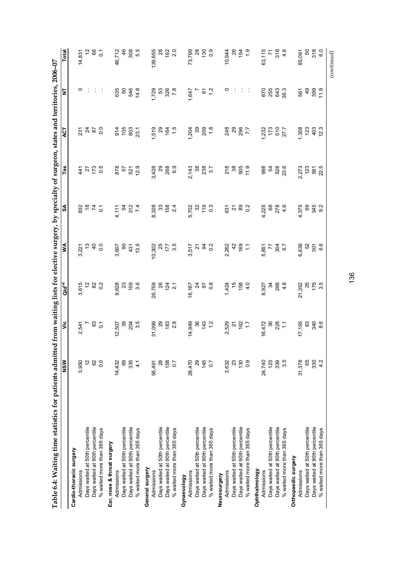| $\sim$ $\sim$ $\sim$                                                                |
|-------------------------------------------------------------------------------------|
|                                                                                     |
|                                                                                     |
|                                                                                     |
|                                                                                     |
|                                                                                     |
|                                                                                     |
|                                                                                     |
|                                                                                     |
|                                                                                     |
|                                                                                     |
| l                                                                                   |
| į                                                                                   |
|                                                                                     |
| )<br>S                                                                              |
|                                                                                     |
|                                                                                     |
|                                                                                     |
|                                                                                     |
| et for alastro chronicality of the chair of the chronical state on the state of the |
|                                                                                     |
|                                                                                     |
|                                                                                     |
|                                                                                     |
|                                                                                     |
|                                                                                     |
|                                                                                     |
|                                                                                     |
|                                                                                     |
|                                                                                     |
|                                                                                     |
|                                                                                     |
|                                                                                     |
| i<br>!                                                                              |
|                                                                                     |
|                                                                                     |
| niHad 1<br>$\mathbf{I}$                                                             |
|                                                                                     |
|                                                                                     |
|                                                                                     |
|                                                                                     |
|                                                                                     |
| l                                                                                   |
|                                                                                     |
|                                                                                     |
|                                                                                     |
|                                                                                     |
|                                                                                     |
|                                                                                     |
|                                                                                     |
| ֘֝֬<br>ׇ֚֘֝                                                                         |
|                                                                                     |
|                                                                                     |
|                                                                                     |
| l                                                                                   |
|                                                                                     |
| $\overline{\phantom{a}}$<br>l                                                       |

|                                | NSW              | $\ddot{\bar{z}}$                   | Qld <sup>(a)</sup>                        | ≸                                  | SA                                                                                                                                                                                                                                                                                                                                                                                                                                                                                                  | TaS                             | <b>ACT</b>                                              | 눙                                                    | <b>Total</b>                       |
|--------------------------------|------------------|------------------------------------|-------------------------------------------|------------------------------------|-----------------------------------------------------------------------------------------------------------------------------------------------------------------------------------------------------------------------------------------------------------------------------------------------------------------------------------------------------------------------------------------------------------------------------------------------------------------------------------------------------|---------------------------------|---------------------------------------------------------|------------------------------------------------------|------------------------------------|
| Cardio-thoracic surgery        |                  |                                    |                                           |                                    |                                                                                                                                                                                                                                                                                                                                                                                                                                                                                                     |                                 |                                                         |                                                      |                                    |
| Admissions                     | 3,950            | 2,541                              |                                           |                                    |                                                                                                                                                                                                                                                                                                                                                                                                                                                                                                     |                                 |                                                         |                                                      | 14,831                             |
| Days waited at 50th percentile | 5                |                                    |                                           |                                    |                                                                                                                                                                                                                                                                                                                                                                                                                                                                                                     |                                 |                                                         |                                                      |                                    |
| Days waited at 90th percentile | 8                |                                    |                                           |                                    |                                                                                                                                                                                                                                                                                                                                                                                                                                                                                                     |                                 |                                                         |                                                      |                                    |
| % waited more than 365 days    | $\overline{0}$   | $-80$                              |                                           | $3,221$<br>$40$<br>$40$<br>$0.0$   | $3287$ $-5$                                                                                                                                                                                                                                                                                                                                                                                                                                                                                         | $4950$<br>$220$                 | $\frac{5}{2}$ $\frac{7}{2}$ $\frac{8}{2}$ $\frac{5}{2}$ |                                                      | $280$ $\phantom{1}0$               |
| Ear, nose & throat surgery     |                  |                                    |                                           |                                    |                                                                                                                                                                                                                                                                                                                                                                                                                                                                                                     |                                 |                                                         |                                                      |                                    |
| Admissions                     | 14,432           |                                    | 9,628<br>0, 23<br>9, 9, 9, 9              |                                    |                                                                                                                                                                                                                                                                                                                                                                                                                                                                                                     |                                 |                                                         |                                                      |                                    |
| Days waited at 50th percentile | 69               |                                    |                                           |                                    |                                                                                                                                                                                                                                                                                                                                                                                                                                                                                                     |                                 |                                                         |                                                      |                                    |
| Days waited at 90th percentile | 335              |                                    |                                           |                                    |                                                                                                                                                                                                                                                                                                                                                                                                                                                                                                     |                                 |                                                         |                                                      |                                    |
| % waited more than 365 days    | $\frac{1}{4}$    | $12,507$<br>39<br>204<br>3.5       |                                           | 3,607<br>90<br>431<br>13.5         | $4,11$<br>54<br>54<br>74                                                                                                                                                                                                                                                                                                                                                                                                                                                                            | 878<br>57<br>521<br>29          | $34037$<br>$5837$                                       | $635$<br>$548$<br>$748$                              | 46,712<br>46<br>308<br>5.5         |
| General surgery                |                  |                                    |                                           |                                    |                                                                                                                                                                                                                                                                                                                                                                                                                                                                                                     |                                 |                                                         |                                                      |                                    |
| Admissions                     | 56,491           | 31,099<br>29<br>28<br>2.8          |                                           |                                    |                                                                                                                                                                                                                                                                                                                                                                                                                                                                                                     | ನ್ನ ಬ<br>ಅಂತಿ<br>ಬಂದಿ           |                                                         |                                                      | 139,655<br>28<br>162<br>2.0        |
| Days waited at 50th percentile | 28               |                                    |                                           |                                    |                                                                                                                                                                                                                                                                                                                                                                                                                                                                                                     |                                 |                                                         |                                                      |                                    |
| Days waited at 90th percentile | 158              |                                    |                                           |                                    |                                                                                                                                                                                                                                                                                                                                                                                                                                                                                                     |                                 |                                                         |                                                      |                                    |
| % waited more than 365 days    | $\overline{0}$   |                                    | 26,759<br>26<br>124<br>2.1                | $10,302$<br>$77$<br>$177$<br>$3.5$ | 8,328<br>ಹಿ. ಸಿ ಪು ಸ<br>ಹಿ                                                                                                                                                                                                                                                                                                                                                                                                                                                                          |                                 | $7.579$<br>$7.99$<br>$7.59$<br>$1.5$<br>$1.5$           | $7.729$<br>53<br>53<br>53<br>7.8                     |                                    |
| Gynaecology                    |                  |                                    |                                           |                                    |                                                                                                                                                                                                                                                                                                                                                                                                                                                                                                     |                                 |                                                         |                                                      |                                    |
| Admissions                     | 28,470           |                                    |                                           |                                    |                                                                                                                                                                                                                                                                                                                                                                                                                                                                                                     |                                 |                                                         |                                                      |                                    |
| Days waited at 50th percentile | $\mathbf{g}$     |                                    |                                           |                                    |                                                                                                                                                                                                                                                                                                                                                                                                                                                                                                     |                                 |                                                         |                                                      |                                    |
| Days waited at 90th percentile | 145              |                                    |                                           |                                    |                                                                                                                                                                                                                                                                                                                                                                                                                                                                                                     |                                 |                                                         |                                                      |                                    |
| % waited more than 365 days    | $\overline{0.7}$ | $74,949$<br>36<br>$143$<br>$1.2$   | $16, 167$<br>$97$<br>$97$<br>$97$<br>$98$ | 3,517<br>3,518<br>3,512            | 5,702<br>5,703<br>5,709<br>5,19                                                                                                                                                                                                                                                                                                                                                                                                                                                                     | 2, 143<br>2, 38<br>2, 7<br>3. 7 |                                                         | $1,647$<br>7<br>7<br>7<br>7<br>7<br>7<br>9<br>1<br>2 | 73,799<br>28<br>130<br>130         |
| Neurosurgery                   |                  |                                    |                                           |                                    |                                                                                                                                                                                                                                                                                                                                                                                                                                                                                                     |                                 |                                                         |                                                      |                                    |
| Admissions                     | 3,632            |                                    |                                           | 2,262<br>42<br>169<br>1            |                                                                                                                                                                                                                                                                                                                                                                                                                                                                                                     |                                 | 248<br>296<br>7.7                                       |                                                      |                                    |
| Days waited at 50th percentile | $23\,$           |                                    |                                           |                                    |                                                                                                                                                                                                                                                                                                                                                                                                                                                                                                     |                                 |                                                         |                                                      |                                    |
| Days waited at 90th percentile | 130              |                                    |                                           |                                    |                                                                                                                                                                                                                                                                                                                                                                                                                                                                                                     |                                 |                                                         |                                                      |                                    |
| % waited more than 365 days    | 0.9              | 2,529<br>21<br>162<br>17           | $7,424$<br>$7,69$<br>$4,69$<br>$4,0$      |                                    | $\begin{array}{ccc} & \overline{1} & \overline{1} & \overline{1} & \overline{1} & \overline{1} \\ & \overline{1} & \overline{1} & \overline{1} & \overline{1} & \overline{1} \\ & \overline{1} & \overline{1} & \overline{1} & \overline{1} & \overline{1} \\ & \overline{1} & \overline{1} & \overline{1} & \overline{1} & \overline{1} \\ & \overline{1} & \overline{1} & \overline{1} & \overline{1} & \overline{1} \\ & \overline{1} & \overline{1} & \overline{1} & \overline{1} & \overline{$ | $27890$<br>$7790$<br>$7790$     |                                                         | $\frac{1}{2}$                                        | $10,944$<br>$26$<br>$154$<br>$1.9$ |
| Ophthalmology                  |                  |                                    |                                           |                                    |                                                                                                                                                                                                                                                                                                                                                                                                                                                                                                     |                                 |                                                         |                                                      |                                    |
| Admissions                     | 24,740           |                                    |                                           |                                    |                                                                                                                                                                                                                                                                                                                                                                                                                                                                                                     |                                 |                                                         |                                                      |                                    |
| Days waited at 50th percentile | 123              |                                    |                                           |                                    |                                                                                                                                                                                                                                                                                                                                                                                                                                                                                                     |                                 |                                                         |                                                      |                                    |
| Days waited at 90th percentile | 339              |                                    | 8,927<br>34<br>88<br>4.8                  | 5,851<br>77<br>57<br>58,7<br>58,7  | $4,225$<br>$68$<br>$278$<br>$46$                                                                                                                                                                                                                                                                                                                                                                                                                                                                    |                                 | $\frac{1,232}{173}$<br>510<br>57.7                      | 6553<br>0553<br>063                                  | 63,115<br>71<br>318<br>4.6         |
| % waited more than 365 days    | 3.5              | $16,472$<br>$36$<br>$228$<br>$1.1$ |                                           |                                    |                                                                                                                                                                                                                                                                                                                                                                                                                                                                                                     |                                 |                                                         |                                                      |                                    |
| Orthopaedic surgery            |                  |                                    |                                           |                                    |                                                                                                                                                                                                                                                                                                                                                                                                                                                                                                     |                                 |                                                         |                                                      |                                    |
| Admissions                     | 31,378           | $17,155$<br>63<br>340<br>8.6       | 21,352<br>25<br>175<br>3.5                |                                    | $4.375$<br>$9.375$<br>$9.32$                                                                                                                                                                                                                                                                                                                                                                                                                                                                        |                                 | 1,358<br>121<br>121<br>12.3                             |                                                      | 85,091                             |
| Days waited at 50th percentile | 65               |                                    |                                           |                                    |                                                                                                                                                                                                                                                                                                                                                                                                                                                                                                     |                                 |                                                         |                                                      |                                    |
| Days waited at 90th percentile | 330              |                                    |                                           | 6,639<br>52<br>6.6<br>6.6          |                                                                                                                                                                                                                                                                                                                                                                                                                                                                                                     | 2,273<br>2,32<br>2,55<br>2,5    |                                                         | 567<br>49<br>59<br>11<br>11                          | 50<br>50<br>50<br>50               |
| % waited more than 365 days    | 4.2              |                                    |                                           |                                    |                                                                                                                                                                                                                                                                                                                                                                                                                                                                                                     |                                 |                                                         |                                                      |                                    |
|                                |                  |                                    |                                           |                                    |                                                                                                                                                                                                                                                                                                                                                                                                                                                                                                     |                                 |                                                         |                                                      | (continued)                        |

136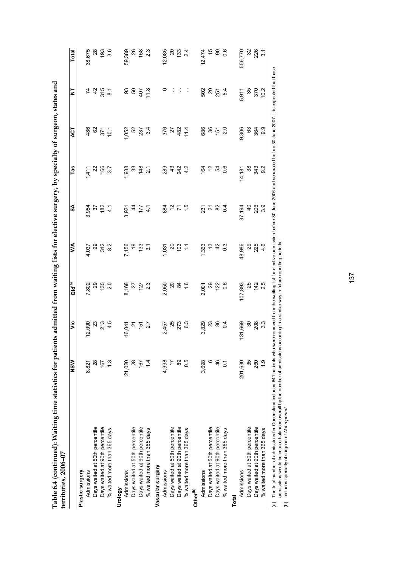| <br> <br>                                           |  |
|-----------------------------------------------------|--|
|                                                     |  |
|                                                     |  |
| l<br>ì                                              |  |
|                                                     |  |
|                                                     |  |
|                                                     |  |
|                                                     |  |
|                                                     |  |
|                                                     |  |
|                                                     |  |
| entities for patients admitted from waiting lictor. |  |
|                                                     |  |
|                                                     |  |
|                                                     |  |
|                                                     |  |
| ֡֓                                                  |  |
|                                                     |  |
|                                                     |  |
|                                                     |  |
|                                                     |  |
|                                                     |  |
|                                                     |  |
| )                                                   |  |
|                                                     |  |
|                                                     |  |
|                                                     |  |
|                                                     |  |
|                                                     |  |
|                                                     |  |
|                                                     |  |
|                                                     |  |

| Table 6.4 (continued): Waiting time statistics for patie<br>$territories, 2006-07$ |                |                   |                                                                          |                  |                | mts admitted from waiting lists for elective surgery, by specialty of surgeon, states and |                 |                              |                  |
|------------------------------------------------------------------------------------|----------------|-------------------|--------------------------------------------------------------------------|------------------|----------------|-------------------------------------------------------------------------------------------|-----------------|------------------------------|------------------|
|                                                                                    | NSW            | ۊ                 | Qld <sup>(a)</sup>                                                       | ≸                | S              | Tas                                                                                       | <b>LO</b>       | ₹                            | Total            |
| Plastic surgery                                                                    |                |                   |                                                                          |                  |                |                                                                                           |                 |                              |                  |
| Admissions                                                                         | 8,821          | 12,090            | 7,802                                                                    | 4,037            | 3,954          | 1,411                                                                                     | 486             |                              | 38,675           |
| Days waited at 50th percentile                                                     | $^{28}$        |                   | 29                                                                       |                  | 55             |                                                                                           | 62              |                              | $\overline{28}$  |
| Days waited at 90th percentile                                                     | 167            | 23<br>21 3<br>4 5 | 135                                                                      | 29<br>25<br>28   | 182            | 22                                                                                        | 371             | $4\frac{5}{3}$ $\frac{5}{8}$ | 193              |
| % waited more than 365 days                                                        | $\frac{3}{2}$  |                   | 2.0                                                                      |                  | $\frac{1}{4}$  | 3.7                                                                                       | 10.1            |                              | 3.6              |
| Vrology                                                                            |                |                   |                                                                          |                  |                |                                                                                           |                 |                              |                  |
| Admissions                                                                         | 21,020         | 16,041            | 8,168                                                                    | 7,156            | 3,921          | 1,938                                                                                     | 1,052           | 33                           | 59,389           |
| Days waited at 50th percentile                                                     | 28             | Ń                 |                                                                          | ი<br>1           | 4              | 33                                                                                        | 52              | 50                           | 26               |
| Days waited at 90th percentile                                                     | 167            | $151$<br>2.7      | $27$<br>$23$<br>$23$                                                     | 133              | 177            | 148                                                                                       | 237             | 407                          | 158              |
| % waited more than 365 days                                                        | $\frac{1}{4}$  |                   |                                                                          | $\frac{2}{3}$    | $\frac{1}{4}$  | $\overline{2}$                                                                            | 34              | 11.8                         | 2.3              |
| Vascular surgery                                                                   |                |                   |                                                                          |                  |                |                                                                                           |                 |                              |                  |
| Admissions                                                                         | 4,998          | 2,457             | 2,050                                                                    | 1,031            | 884            | 289                                                                                       | 376             | 0                            | 12,085           |
| Days waited at 50th percentile                                                     | $\overline{1}$ |                   | 20                                                                       |                  | 5,             | $\frac{3}{4}$                                                                             | 27              |                              |                  |
| Days waited at 90th percentile                                                     | 89             | <b>25</b><br>273  | $\mathfrak{A}$                                                           | ន ខ្ន            |                | 24.2<br>4.2                                                                               | 482             |                              | ន នួ             |
| % waited more than 365 days                                                        | 0.5            | <u>و∙</u>         | $\frac{6}{1}$                                                            | Ξ                |                |                                                                                           | 114             |                              | 24               |
| Other <sup>(b)</sup>                                                               |                |                   |                                                                          |                  |                |                                                                                           |                 |                              |                  |
| Admissions                                                                         | 3,698          | 3,829             | 2,001                                                                    | 1,363            | 231            | 164                                                                                       | 686             | 502                          | 12,474           |
| Days waited at 50th percentile                                                     | $\circ$        | 23                | 29                                                                       |                  | ಸ              | $\tilde{c}$                                                                               | 36              | 20                           | 45               |
| Days waited at 90th percentile                                                     | 46             | 86                | 122                                                                      | $\overline{4}$   | 82             | 54                                                                                        | $\frac{15}{15}$ | 251                          | 8                |
| % waited more than 365 days                                                        | $\overline{c}$ | $\overline{0}$    | $\frac{6}{5}$                                                            | $\overline{0.3}$ | $\overline{0}$ | 0.6                                                                                       | 2.0             | 54                           | 0.6              |
| Total                                                                              |                |                   |                                                                          |                  |                |                                                                                           |                 |                              |                  |
| Admissions                                                                         | 201,630        | 131,669           | 107,893                                                                  | 48,986           | 37,194         | 14,181                                                                                    | 9,306           | 5,911                        | 556,770          |
| Days waited at 50th percentile                                                     | 35             | 30                | 25                                                                       | 29               | $\overline{a}$ | 38                                                                                        | 63              | 35                           | 32<br>28         |
| Days waited at 90th percentile                                                     | 260            | 208               | 142                                                                      | 225              | 206            | 343                                                                                       | 364             | 370                          |                  |
| % waited more than 365 days                                                        | $\frac{0}{1}$  | $3.\overline{3}$  | 2.5                                                                      | 4.6              | 3.9            | 9.2                                                                                       | 9.9             | 10.2                         | $\overline{3.1}$ |
| indu Tho total pumber of admissions for Ouncordond includes 644 potionts who u     |                |                   | mmaura from the woiting list for algoring admission bafors 3.0 Luga onCG |                  |                | TUUC and sand hafara 20 Lina 2007                                                         |                 | It is avnoated that those    |                  |

(a) (b) The total number of admissions for Queensland includes 641 patients who were removed from the waiting list for elective admission before 30 June 2006 and separated before 30 June 2007. It is expected that these admissions would be counterbalanced overall by the number of admissions occurring in a similar way in future reporting periods.

Includes specialty of surgeon of *Not reported* .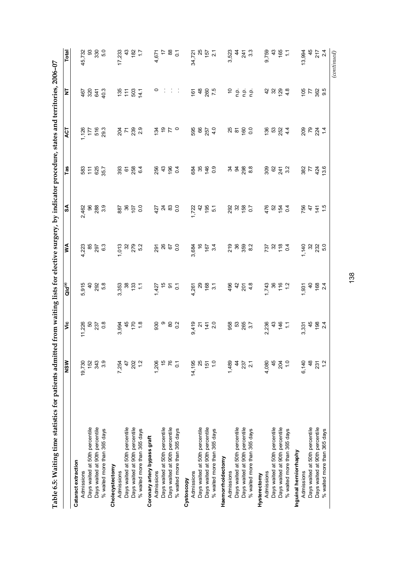| !<br><    |
|-----------|
|           |
|           |
|           |
|           |
|           |
|           |
|           |
|           |
|           |
|           |
|           |
|           |
|           |
|           |
|           |
| į         |
|           |
|           |
|           |
|           |
| こうこう こうこう |
|           |
|           |
|           |
|           |
|           |
|           |
|           |
|           |
|           |
|           |
|           |
|           |
|           |
|           |
|           |
|           |
|           |
|           |
| i<br>F    |
|           |
|           |
|           |
|           |
|           |
| Í         |
|           |
|           |
|           |
|           |
|           |
|           |
|           |
|           |
|           |
|           |
|           |
|           |
|           |
|           |
|           |
|           |

|                                | NSW              |                                          | <b>Qld</b> <sup>(a)</sup>                 | ⋚∣                          | ર્જ                                                                              | Tas                                                 | ACT                                                                                      | ₹                                                      | Total                                                                                                                                                                                                                                                                                                                                                                                                                                                                                                                                                                     |
|--------------------------------|------------------|------------------------------------------|-------------------------------------------|-----------------------------|----------------------------------------------------------------------------------|-----------------------------------------------------|------------------------------------------------------------------------------------------|--------------------------------------------------------|---------------------------------------------------------------------------------------------------------------------------------------------------------------------------------------------------------------------------------------------------------------------------------------------------------------------------------------------------------------------------------------------------------------------------------------------------------------------------------------------------------------------------------------------------------------------------|
| Cataract extraction            |                  |                                          |                                           |                             |                                                                                  |                                                     |                                                                                          |                                                        |                                                                                                                                                                                                                                                                                                                                                                                                                                                                                                                                                                           |
| Admissions                     | 19,730           |                                          |                                           |                             |                                                                                  |                                                     |                                                                                          |                                                        | 45,732                                                                                                                                                                                                                                                                                                                                                                                                                                                                                                                                                                    |
| Days waited at 50th percentile | 152              |                                          |                                           |                             |                                                                                  |                                                     |                                                                                          |                                                        |                                                                                                                                                                                                                                                                                                                                                                                                                                                                                                                                                                           |
| Days waited at 90th percentile | 343              |                                          |                                           |                             |                                                                                  |                                                     |                                                                                          |                                                        |                                                                                                                                                                                                                                                                                                                                                                                                                                                                                                                                                                           |
| % waited more than 365 days    | 3.9              | $11,226$<br>50<br>50<br>50<br>237<br>0.8 | 5,915<br>40<br>5,92<br>5,8                |                             |                                                                                  |                                                     |                                                                                          | $48343$<br>$403$                                       | ន ខ្លួ<br>និង<br>និង                                                                                                                                                                                                                                                                                                                                                                                                                                                                                                                                                      |
| Cholecystectomy                |                  |                                          |                                           |                             |                                                                                  |                                                     |                                                                                          |                                                        |                                                                                                                                                                                                                                                                                                                                                                                                                                                                                                                                                                           |
| Admissions                     | 7,254            |                                          |                                           |                             |                                                                                  |                                                     |                                                                                          |                                                        |                                                                                                                                                                                                                                                                                                                                                                                                                                                                                                                                                                           |
| Days waited at 50th percentile | $\frac{47}{5}$   |                                          |                                           |                             |                                                                                  |                                                     |                                                                                          |                                                        |                                                                                                                                                                                                                                                                                                                                                                                                                                                                                                                                                                           |
| Days waited at 90th percentile |                  |                                          |                                           |                             |                                                                                  |                                                     |                                                                                          |                                                        |                                                                                                                                                                                                                                                                                                                                                                                                                                                                                                                                                                           |
| % waited more than 365 days    | 202<br>1.2       | ა<br>მშენან გავამ<br>მშენან გავა         |                                           |                             |                                                                                  |                                                     |                                                                                          |                                                        |                                                                                                                                                                                                                                                                                                                                                                                                                                                                                                                                                                           |
| Coronary artery bypass graft   |                  |                                          |                                           |                             |                                                                                  |                                                     |                                                                                          |                                                        |                                                                                                                                                                                                                                                                                                                                                                                                                                                                                                                                                                           |
| Admissions                     | 1,206            |                                          |                                           |                             |                                                                                  |                                                     |                                                                                          |                                                        |                                                                                                                                                                                                                                                                                                                                                                                                                                                                                                                                                                           |
| Days waited at 50th percentile | $\frac{6}{1}$    |                                          |                                           |                             |                                                                                  |                                                     |                                                                                          |                                                        |                                                                                                                                                                                                                                                                                                                                                                                                                                                                                                                                                                           |
| Days waited at 90th percentile | 76               |                                          |                                           |                             |                                                                                  |                                                     |                                                                                          |                                                        |                                                                                                                                                                                                                                                                                                                                                                                                                                                                                                                                                                           |
| % waited more than 365 days    | $\overline{0}$ . |                                          |                                           |                             |                                                                                  |                                                     |                                                                                          |                                                        |                                                                                                                                                                                                                                                                                                                                                                                                                                                                                                                                                                           |
| Cystoscopy                     |                  |                                          |                                           |                             | v<br>Roman Bubbo dung Kapan Yumbo dan Raft<br>Gomo Pubbo rang unan ayar ang arta | <u>ಲ್ಲ ಲ್ಯ ಸಂಪರ್ಧ ಇಲ್ಲದು</u><br>ಜಿ. ಲ್ಯ ಸಂಪರ್ಧ ಭಾರತ | riteres grass siero popula grass senda grassi<br>Kristo grass siero popula grassis senda |                                                        | $\begin{array}{ccccccccc} \dot{C} & \dot{\alpha} & \dot{\alpha} & \dot{\alpha} & \dot{\alpha} & \dot{\alpha} & \dot{\alpha} & \dot{\alpha} \\ \dot{\alpha} & \dot{\alpha} & \dot{\alpha} & \dot{\alpha} & \dot{\alpha} & \dot{\alpha} & \dot{\alpha} & \dot{\alpha} \\ \dot{\alpha} & \dot{\alpha} & \dot{\alpha} & \dot{\alpha} & \dot{\alpha} & \dot{\alpha} & \dot{\alpha} \\ \dot{\alpha} & \dot{\alpha} & \dot{\alpha} & \dot{\alpha} & \dot{\alpha} & \dot{\alpha} \\ \dot{\alpha} & \dot{\alpha} & \dot{\alpha} & \dot{\alpha} & \dot{\alpha} & \dot{\alpha} \\ \$ |
| Admissions                     | 14,195           |                                          |                                           |                             |                                                                                  |                                                     |                                                                                          |                                                        |                                                                                                                                                                                                                                                                                                                                                                                                                                                                                                                                                                           |
| Days waited at 50th percentile | 25               |                                          |                                           |                             |                                                                                  |                                                     |                                                                                          |                                                        |                                                                                                                                                                                                                                                                                                                                                                                                                                                                                                                                                                           |
| Days waited at 90th percentile | 151              |                                          |                                           |                             |                                                                                  |                                                     |                                                                                          |                                                        |                                                                                                                                                                                                                                                                                                                                                                                                                                                                                                                                                                           |
| % waited more than 365 days    | $\frac{0}{1}$    | 9. 선 호 영<br>이 선 준 영                      |                                           |                             |                                                                                  |                                                     |                                                                                          |                                                        |                                                                                                                                                                                                                                                                                                                                                                                                                                                                                                                                                                           |
| Haemorrhoidectomy              |                  |                                          |                                           |                             |                                                                                  |                                                     |                                                                                          |                                                        |                                                                                                                                                                                                                                                                                                                                                                                                                                                                                                                                                                           |
| Admissions                     | 1,489            |                                          |                                           |                             |                                                                                  |                                                     |                                                                                          |                                                        |                                                                                                                                                                                                                                                                                                                                                                                                                                                                                                                                                                           |
| Days waited at 50th percentile | $\frac{4}{4}$    |                                          |                                           |                             |                                                                                  |                                                     |                                                                                          |                                                        |                                                                                                                                                                                                                                                                                                                                                                                                                                                                                                                                                                           |
| Days waited at 90th percentile | 237<br>2.1       |                                          |                                           |                             |                                                                                  |                                                     |                                                                                          |                                                        |                                                                                                                                                                                                                                                                                                                                                                                                                                                                                                                                                                           |
| % waited more than 365 days    |                  | 958<br>0 53<br>265<br>3.7                |                                           |                             |                                                                                  |                                                     |                                                                                          |                                                        |                                                                                                                                                                                                                                                                                                                                                                                                                                                                                                                                                                           |
| Hysterectomy                   |                  |                                          |                                           |                             |                                                                                  | 3388 8873 8745                                      |                                                                                          |                                                        |                                                                                                                                                                                                                                                                                                                                                                                                                                                                                                                                                                           |
| Admissions                     | 4,080            |                                          |                                           |                             |                                                                                  |                                                     |                                                                                          |                                                        |                                                                                                                                                                                                                                                                                                                                                                                                                                                                                                                                                                           |
| Days waited at 50th percentile | 45               |                                          |                                           |                             |                                                                                  |                                                     |                                                                                          |                                                        |                                                                                                                                                                                                                                                                                                                                                                                                                                                                                                                                                                           |
| Days waited at 90th percentile | $204$<br>1.0     |                                          |                                           |                             |                                                                                  |                                                     |                                                                                          |                                                        |                                                                                                                                                                                                                                                                                                                                                                                                                                                                                                                                                                           |
| % waited more than 365 days    |                  | $2,236$<br>$4,36$<br>$7,7$               |                                           |                             |                                                                                  |                                                     |                                                                                          | $\begin{array}{c} 32 \\ 34 \\ 36 \\ 37 \\ \end{array}$ |                                                                                                                                                                                                                                                                                                                                                                                                                                                                                                                                                                           |
| Inguinal herniorrhaphy         |                  |                                          | $-25$<br>$-35$<br>$-36$<br>$-34$<br>$-34$ |                             |                                                                                  |                                                     |                                                                                          |                                                        |                                                                                                                                                                                                                                                                                                                                                                                                                                                                                                                                                                           |
| Admissions                     | 6,140            | $3,331$<br>$4,5$<br>$4,6$<br>$2,4$       |                                           | 1<br>1 3 3 3 9<br>1 9 9 9 9 |                                                                                  |                                                     |                                                                                          | 88.8<br>1975<br>1979                                   | $13,994$<br>$45$<br>$217$<br>$2.4$                                                                                                                                                                                                                                                                                                                                                                                                                                                                                                                                        |
| Days waited at 50th percentile | 48               |                                          |                                           |                             |                                                                                  |                                                     |                                                                                          |                                                        |                                                                                                                                                                                                                                                                                                                                                                                                                                                                                                                                                                           |
| Days waited at 90th percentile | $\frac{25}{1}$   |                                          |                                           |                             |                                                                                  |                                                     |                                                                                          |                                                        |                                                                                                                                                                                                                                                                                                                                                                                                                                                                                                                                                                           |
| % waited more than 365 days    |                  |                                          |                                           |                             |                                                                                  |                                                     |                                                                                          |                                                        |                                                                                                                                                                                                                                                                                                                                                                                                                                                                                                                                                                           |
|                                |                  |                                          |                                           |                             |                                                                                  |                                                     |                                                                                          |                                                        | (continued)                                                                                                                                                                                                                                                                                                                                                                                                                                                                                                                                                               |

138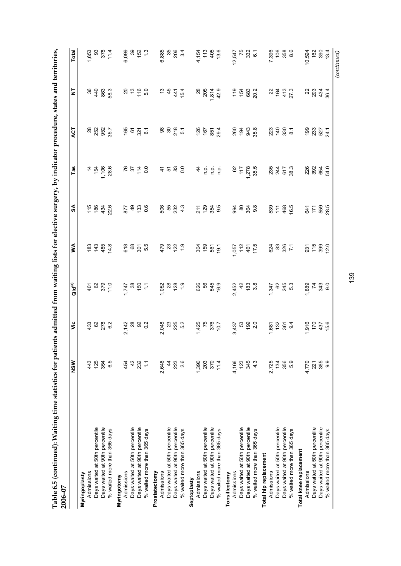| j                                                                                                                                                                                                                                    |             |
|--------------------------------------------------------------------------------------------------------------------------------------------------------------------------------------------------------------------------------------|-------------|
|                                                                                                                                                                                                                                      |             |
|                                                                                                                                                                                                                                      |             |
|                                                                                                                                                                                                                                      |             |
|                                                                                                                                                                                                                                      |             |
|                                                                                                                                                                                                                                      |             |
|                                                                                                                                                                                                                                      |             |
|                                                                                                                                                                                                                                      |             |
|                                                                                                                                                                                                                                      |             |
|                                                                                                                                                                                                                                      |             |
|                                                                                                                                                                                                                                      |             |
|                                                                                                                                                                                                                                      |             |
|                                                                                                                                                                                                                                      |             |
|                                                                                                                                                                                                                                      |             |
|                                                                                                                                                                                                                                      |             |
|                                                                                                                                                                                                                                      |             |
|                                                                                                                                                                                                                                      |             |
|                                                                                                                                                                                                                                      |             |
|                                                                                                                                                                                                                                      |             |
| Í                                                                                                                                                                                                                                    |             |
|                                                                                                                                                                                                                                      |             |
|                                                                                                                                                                                                                                      |             |
|                                                                                                                                                                                                                                      |             |
|                                                                                                                                                                                                                                      |             |
|                                                                                                                                                                                                                                      |             |
|                                                                                                                                                                                                                                      |             |
|                                                                                                                                                                                                                                      |             |
|                                                                                                                                                                                                                                      |             |
|                                                                                                                                                                                                                                      |             |
|                                                                                                                                                                                                                                      |             |
| י המבור המוני                                                                                                                                                                                                                        |             |
|                                                                                                                                                                                                                                      |             |
|                                                                                                                                                                                                                                      |             |
|                                                                                                                                                                                                                                      |             |
|                                                                                                                                                                                                                                      |             |
|                                                                                                                                                                                                                                      |             |
|                                                                                                                                                                                                                                      |             |
|                                                                                                                                                                                                                                      |             |
|                                                                                                                                                                                                                                      |             |
|                                                                                                                                                                                                                                      |             |
| i<br>I                                                                                                                                                                                                                               |             |
|                                                                                                                                                                                                                                      |             |
|                                                                                                                                                                                                                                      |             |
|                                                                                                                                                                                                                                      |             |
| ֖֖֖֖֧ׅ֖֧ׅ֚֚֚֚֚֚֚֚֚֚֚֚֚֚֚֡֝֝֝֝֝֬֝֬ <b>֓</b><br>֧֚֩֩                                                                                                                                                                                   |             |
|                                                                                                                                                                                                                                      |             |
| ו<br>ו                                                                                                                                                                                                                               |             |
|                                                                                                                                                                                                                                      |             |
|                                                                                                                                                                                                                                      |             |
|                                                                                                                                                                                                                                      |             |
|                                                                                                                                                                                                                                      |             |
|                                                                                                                                                                                                                                      |             |
|                                                                                                                                                                                                                                      |             |
|                                                                                                                                                                                                                                      |             |
|                                                                                                                                                                                                                                      |             |
|                                                                                                                                                                                                                                      |             |
| <b>TAR CALLAS CALLAS CALLAS CALLAS AND STATE CALLAS CALLAS CALLAS CALLAS CALLAS CALLAS CALLAS CALLAS CALLAS CALLAS CALLAS CALLAS CALLAS CALLAS CALLAS CALLAS CALLAS CALLAS CALLAS CALLAS CALLAS CALLAS CALLAS CALLAS CALLAS CALL</b> |             |
|                                                                                                                                                                                                                                      |             |
|                                                                                                                                                                                                                                      |             |
|                                                                                                                                                                                                                                      |             |
|                                                                                                                                                                                                                                      |             |
|                                                                                                                                                                                                                                      |             |
|                                                                                                                                                                                                                                      |             |
| :                                                                                                                                                                                                                                    |             |
|                                                                                                                                                                                                                                      |             |
| ı                                                                                                                                                                                                                                    |             |
|                                                                                                                                                                                                                                      |             |
|                                                                                                                                                                                                                                      |             |
| l                                                                                                                                                                                                                                    |             |
|                                                                                                                                                                                                                                      |             |
| i<br>S                                                                                                                                                                                                                               |             |
|                                                                                                                                                                                                                                      |             |
|                                                                                                                                                                                                                                      |             |
|                                                                                                                                                                                                                                      |             |
|                                                                                                                                                                                                                                      |             |
|                                                                                                                                                                                                                                      |             |
|                                                                                                                                                                                                                                      |             |
|                                                                                                                                                                                                                                      |             |
| こうしょう つうしょう                                                                                                                                                                                                                          |             |
|                                                                                                                                                                                                                                      |             |
|                                                                                                                                                                                                                                      |             |
|                                                                                                                                                                                                                                      |             |
| $\ddot{\phantom{0}}$                                                                                                                                                                                                                 |             |
|                                                                                                                                                                                                                                      |             |
|                                                                                                                                                                                                                                      |             |
|                                                                                                                                                                                                                                      |             |
|                                                                                                                                                                                                                                      |             |
|                                                                                                                                                                                                                                      |             |
|                                                                                                                                                                                                                                      |             |
|                                                                                                                                                                                                                                      |             |
|                                                                                                                                                                                                                                      |             |
|                                                                                                                                                                                                                                      |             |
|                                                                                                                                                                                                                                      |             |
|                                                                                                                                                                                                                                      | l           |
| $\frac{1}{2}$                                                                                                                                                                                                                        |             |
|                                                                                                                                                                                                                                      |             |
| $\ddot{F}$<br>į                                                                                                                                                                                                                      | c<br>c<br>c |

| 2006-07                        |               |                                 |                                    |                                                                       |                                 |                                      |                           |                                         |                                                                                               |
|--------------------------------|---------------|---------------------------------|------------------------------------|-----------------------------------------------------------------------|---------------------------------|--------------------------------------|---------------------------|-----------------------------------------|-----------------------------------------------------------------------------------------------|
|                                | NSW           | ۶Ë                              | Qld(a)                             | ⋚                                                                     | SA                              | Tas                                  | ACT                       | 2                                       | Total                                                                                         |
| Myringoplasty                  |               |                                 |                                    |                                                                       |                                 |                                      |                           |                                         |                                                                                               |
| Admissions                     | 443           |                                 |                                    |                                                                       |                                 |                                      |                           |                                         |                                                                                               |
| Days waited at 50th percentile | 125           |                                 |                                    |                                                                       |                                 |                                      |                           |                                         |                                                                                               |
| Days waited at 90th percentile | 354           |                                 |                                    |                                                                       |                                 |                                      |                           |                                         |                                                                                               |
| % waited more than 365 days    | 6.5           | 33<br>27<br>30<br>20<br>30      | $6880$<br>$7580$                   | $63484$<br>$484$<br>$484$                                             | $15848$<br>$236$                | $7\frac{154}{154}$<br>$7\frac{8}{6}$ | ឌ ដូ ដូ ដូ<br>នី ដូ ដូ ដូ | 8 4 8 8 9<br>8 4 8 9 9                  | $1,653$<br>$3,76$<br>$7,4$<br>$1,4$<br>$1,4$                                                  |
| Myringotomy                    |               |                                 |                                    |                                                                       |                                 |                                      |                           |                                         |                                                                                               |
| Admissions                     | 454           |                                 | $1,747$<br>$88$<br>$55$<br>$1,747$ | 88 5 5<br>88 5 5                                                      | 877<br>879<br>90.6              |                                      |                           |                                         |                                                                                               |
| Days waited at 50th percentile | 42            |                                 |                                    |                                                                       |                                 |                                      |                           |                                         |                                                                                               |
| Days waited at 90th percentile | $232$<br>1.1  |                                 |                                    |                                                                       |                                 |                                      |                           | 856                                     |                                                                                               |
| % waited more than 365 days    |               | $2,142$<br>$289$<br>$25$        |                                    |                                                                       |                                 | <b>055016</b>                        |                           |                                         |                                                                                               |
| Prostatectomy                  |               |                                 |                                    |                                                                       |                                 |                                      |                           |                                         |                                                                                               |
| Admissions                     | 2,648         |                                 |                                    |                                                                       |                                 |                                      |                           |                                         |                                                                                               |
| Days waited at 50th percentile | $\frac{4}{3}$ | 2.048<br>2.03<br>2.05<br>2.05   |                                    | $\frac{1}{6}$ $\frac{1}{6}$ $\frac{1}{6}$ $\frac{1}{6}$ $\frac{1}{6}$ |                                 |                                      | $8880$ $0.55$             |                                         | 6,885<br>0,87<br>0,84                                                                         |
| Days waited at 90th percentile | 223           |                                 |                                    |                                                                       |                                 |                                      |                           |                                         |                                                                                               |
| % waited more than 365 days    | 2.6           |                                 |                                    |                                                                       | 505<br>552<br>43<br>43          | 4.280                                |                           | $5.445$<br>$5.45$                       |                                                                                               |
| Septoplasty                    |               |                                 |                                    |                                                                       | 7 1 2 3 4<br>2 5 4 5<br>2 5 4 5 |                                      |                           |                                         |                                                                                               |
| Admissions                     | 1,390         |                                 |                                    |                                                                       |                                 |                                      |                           |                                         |                                                                                               |
| Days waited at 50th percentile | 203           |                                 |                                    |                                                                       |                                 |                                      |                           |                                         |                                                                                               |
| Days waited at 90th percentile | 370           |                                 |                                    |                                                                       |                                 |                                      |                           |                                         |                                                                                               |
| % waited more than 365 days    | 11.4          | 1,425<br>75<br>10.7<br>10.7     | 626<br>626<br>625<br>626           | <u>ង្គូ ទី ១</u>                                                      |                                 | 4555                                 | 76534                     | 28<br>205<br>7<br>7<br>7<br>4<br>7<br>4 | $4,154$<br>$113$<br>$405$<br>$13.6$                                                           |
| Tonsillectomy                  |               |                                 |                                    |                                                                       |                                 |                                      |                           |                                         |                                                                                               |
| Admissions                     | 4,166         |                                 |                                    |                                                                       |                                 |                                      |                           |                                         |                                                                                               |
| Days waited at 50th percentile | 123           |                                 |                                    |                                                                       |                                 |                                      |                           |                                         |                                                                                               |
| Days waited at 90th percentile | 345           | 3,437<br>3,53<br>3,090<br>3,090 |                                    |                                                                       |                                 |                                      |                           |                                         |                                                                                               |
| % waited more than 365 days    | 4.3           |                                 |                                    | 1,057<br>112<br>461<br>17.5                                           | ಕ್ಷ ಜ ಜ್ಞೆ<br>ಕೆ. ಜ ಜ್ಞೆ ಜ      | 62<br>1778<br>1,278<br>15.5          | 80 9 3 8<br>80 9 3 8      | $75802$<br>$75802$                      |                                                                                               |
| Total hip replacement          |               |                                 |                                    |                                                                       | 535 1 6.5<br>1 1 4 6.5          |                                      |                           |                                         | $12,547$<br>$75$<br>$75$<br>$75$<br>$7,332$<br>$7,396$<br>$7,68$<br>$7,68$<br>$7,68$<br>$8,6$ |
| Admissions                     | 2,725         | $7.82$<br>$7.32$<br>$9.4$       |                                    |                                                                       |                                 | 2347<br>2352                         |                           | 3847.2                                  |                                                                                               |
| Days waited at 50th percentile | 134           |                                 |                                    |                                                                       |                                 |                                      |                           |                                         |                                                                                               |
| Days waited at 90th percentile | 356           |                                 |                                    |                                                                       |                                 |                                      |                           |                                         |                                                                                               |
| % waited more than 365 days    | 5.9           |                                 | 1.345<br>482<br>1.845              |                                                                       |                                 |                                      |                           |                                         |                                                                                               |
| Total knee replacement         |               |                                 |                                    |                                                                       |                                 |                                      |                           |                                         |                                                                                               |
| Admissions                     | 4,770         |                                 |                                    |                                                                       |                                 |                                      |                           |                                         |                                                                                               |
| Days waited at 50th percentile | 221           | 1,916<br>170<br>157<br>15.6     | $780$<br>$780$<br>$730$<br>$70$    | $37.580$<br>$20.0$                                                    | $647$<br>$558.5$<br>$28.5$      | 282353                               | 98357<br>2825             | ង ខ្លួ <del>ភ្ន</del> ំ ភ្នំ            | 10,594<br>162<br>13.4<br>13.4                                                                 |
| Days waited at 90th percentile | 365           |                                 |                                    |                                                                       |                                 |                                      |                           |                                         |                                                                                               |
| % waited more than 365 days    | 9.9           |                                 |                                    |                                                                       |                                 |                                      |                           |                                         |                                                                                               |
|                                |               |                                 |                                    |                                                                       |                                 |                                      |                           |                                         | $_{(continued)}$                                                                              |

139